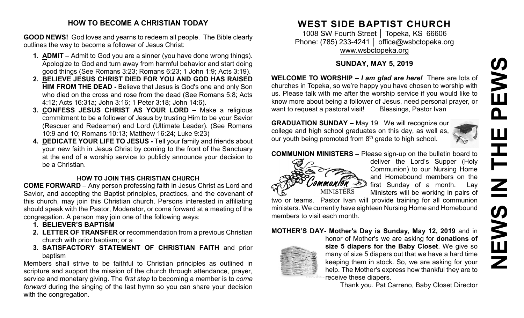# **NEWS IN THE PEWSEWS** HH<br>N<br>N **SWEN**

### **HOW TO BECOME A CHRISTIAN TODAY**

**GOOD NEWS!** God loves and yearns to redeem all people. The Bible clearly outlines the way to become a follower of Jesus Christ:

- **1. ADMIT** Admit to God you are a sinner (you have done wrong things). Apologize to God and turn away from harmful behavior and start doing good things (See Romans 3:23; Romans 6:23; 1 John 1:9; Acts 3:19).
- **2. BELIEVE JESUS CHRIST DIED FOR YOU AND GOD HAS RAISED HIM FROM THE DEAD -** Believe that Jesus is God's one and only Son who died on the cross and rose from the dead (See Romans 5:8; Acts 4:12; Acts 16:31a; John 3:16; 1 Peter 3:18; John 14:6).
- **3. CONFESS JESUS CHRIST AS YOUR LORD –** Make a religious commitment to be a follower of Jesus by trusting Him to be your Savior (Rescuer and Redeemer) and Lord (Ultimate Leader). (See Romans 10:9 and 10; Romans 10:13; Matthew 16:24; Luke 9:23)
- **4. DEDICATE YOUR LIFE TO JESUS -** Tell your family and friends about your new faith in Jesus Christ by coming to the front of the Sanctuary at the end of a worship service to publicly announce your decision to be a Christian.

# **HOW TO JOIN THIS CHRISTIAN CHURCH**

**COME FORWARD** – Any person professing faith in Jesus Christ as Lord and Savior, and accepting the Baptist principles, practices, and the covenant of this church, may join this Christian church. Persons interested in affiliating should speak with the Pastor, Moderator, or come forward at a meeting of the congregation. A person may join one of the following ways:

- **1. BELIEVER'S BAPTISM**
- **2. LETTER OF TRANSFER** or recommendation from a previous Christian church with prior baptism; or a
- **3. SATISFACTORY STATEMENT OF CHRISTIAN FAITH** and prior baptism

Members shall strive to be faithful to Christian principles as outlined in scripture and support the mission of the church through attendance, prayer, service and monetary giving. The *first step* to becoming a member is to *come forward* during the singing of the last hymn so you can share your decision with the congregation.

# **WEST SIDE BAPTIST CHURCH**

1008 SW Fourth Street │ Topeka, KS 66606 Phone: (785) 233-4241 │ [office@wsbctopeka.org](mailto:office@wsbctopeka.org) [www.wsbctopeka.org](http://www.wsbctopeka.org/)

# **SUNDAY, MAY 5, 2019**

**WELCOME TO WORSHIP –** *I am glad are here!* There are lots of churches in Topeka, so we're happy you have chosen to worship with us. Please talk with me after the worship service if you would like to know more about being a follower of Jesus, need personal prayer, or want to request a pastoral visit! Blessings, Pastor Ivan

**GRADUATION SUNDAY –** May 19. We will recognize our college and high school graduates on this day, as well as, our youth being promoted from  $8<sup>th</sup>$  grade to high school.



**COMMUNION MINISTERS –** Please sign-up on the bulletin board to



deliver the Lord's Supper (Holy Communion) to our Nursing Home and Homebound members on the first Sunday of a month. Lay Ministers will be working in pairs of

two or teams. Pastor Ivan will provide training for all communion ministers. We currently have eighteen Nursing Home and Homebound members to visit each month.

# **MOTHER'S DAY- Mother's Day is Sunday, May 12, 2019** and in



honor of Mother's we are asking for **donations of size 5 diapers for the Baby Closet**. We give so many of size 5 diapers out that we have a hard time keeping them in stock. So, we are asking for your help. The Mother's express how thankful they are to receive these diapers.

Thank you. Pat Carreno, Baby Closet Director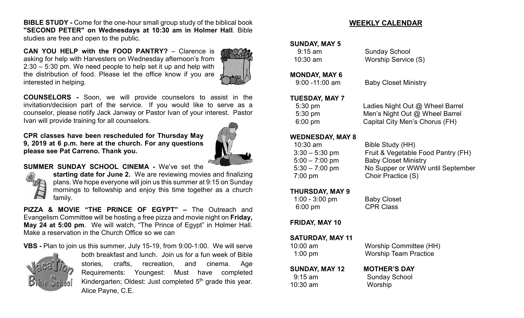**BIBLE STUDY -** Come for the one-hour small group study of the biblical book **"SECOND PETER" on Wednesdays at 10:30 am in Holmer Hall**. Bible studies are free and open to the public.

**CAN YOU HELP with the FOOD PANTRY?** – Clarence is asking for help with Harvesters on Wednesday afternoon's from 2:30 – 5:30 pm. We need people to help set it up and help with the distribution of food. Please let the office know if you are interested in helping.



**COUNSELORS -** Soon, we will provide counselors to assist in the invitation/decision part of the service. If you would like to serve as a counselor, please notify Jack Janway or Pastor Ivan of your interest. Pastor Ivan will provide training for all counselors.

**CPR classes have been rescheduled for Thursday May 9, 2019 at 6 p.m. here at the church. For any questions please see Pat Carreno. Thank you.**



#### **SUMMER SUNDAY SCHOOL CINEMA -** We've set the



**starting date for June 2.** We are reviewing movies and finalizing plans. We hope everyone will join us this summer at 9:15 on Sunday mornings to fellowship and enjoy this time together as a church family.

**PIZZA & MOVIE "THE PRINCE OF EGYPT" –** The Outreach and Evangelism Committee will be hosting a free pizza and movie night on **Friday, May 24 at 5:00 pm**. We will watch, "The Prince of Egypt" in Holmer Hall. Make a reservation in the Church Office so we can

**VBS -** Plan to join us this summer, July 15-19, from 9:00-1:00. We will serve



both breakfast and lunch. Join us for a fun week of Bible stories, crafts, recreation, and cinema. Age Requirements: Youngest: Must have completed Kindergarten; Oldest: Just completed 5<sup>th</sup> grade this year. Alice Payne, C.E.

#### **WEEKLY CALENDAR**

#### **SUNDAY, MAY 5**

 9:15 am Sunday School 10:30 am Worship Service (S)

#### **MONDAY, MAY 6**

9:00 -11:00 am Baby Closet Ministry

# **TUESDAY, MAY 7**<br>5:30 pm

**Ladies Night Out @ Wheel Barrel**  5:30 pm Men's Night Out @ Wheel Barrel 6:00 pm Capital City Men's Chorus (FH)

#### **WEDNESDAY, MAY 8**

| $10:30$ am        |                  | Bible Study (HH)                   |
|-------------------|------------------|------------------------------------|
|                   | $3:30 - 5:30$ pm | Fruit & Vegetable Food Pantry (FH) |
|                   | $5:00 - 7:00$ pm | <b>Baby Closet Ministry</b>        |
|                   | $5:30 - 7:00$ pm | No Supper or WWW until September   |
| $7:00 \text{ pm}$ |                  | Choir Practice (S)                 |

#### **THURSDAY, MAY 9**

| $1:00 - 3:00$ pm  | <b>Baby Closet</b> |
|-------------------|--------------------|
| $6:00 \text{ pm}$ | <b>CPR Class</b>   |

#### **FRIDAY, MAY 10**

| SATURDAY, MAY 11  |                               |
|-------------------|-------------------------------|
| $10:00$ am        | <b>Worship Committee (HH)</b> |
| $1:00 \text{ pm}$ | <b>Worship Team Practice</b>  |

#### **SUNDAY, MAY 12 MOTHER'S DAY** 9:15 am Sunday School 10:30 am Worship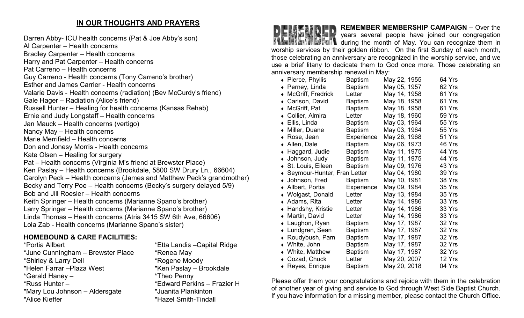# **IN OUR THOUGHTS AND PRAYERS**

Darren Abby- ICU health concerns (Pat & Joe Abby's son) Al Carpenter – Health concerns Bradley Carpenter – Health concerns Harry and Pat Carpenter – Health concerns Pat Carreno – Health concerns Guy Carreno - Health concerns (Tony Carreno's brother) Esther and James Carrier - Health concerns Valarie Davis - Health concerns (radiation) (Bev McCurdy's friend) Gale Hager – Radiation (Alice's friend) Russell Hunter – Healing for health concerns (Kansas Rehab) Ernie and Judy Longstaff – Health concerns Jan Mauck – Health concerns (vertigo) Nancy May – Health concerns Marie Merrifield – Health concerns Don and Jonesy Morris - Health concerns Kate Olsen – Healing for surgery Pat – Health concerns (Virginia M's friend at Brewster Place) Ken Paslay – Health concerns (Brookdale, 5800 SW Drury Ln., 66604) Carolyn Peck – Health concerns (James and Matthew Peck's grandmother) Becky and Terry Poe – Health concerns (Becky's surgery delayed 5/9) Bob and Jill Roesler – Health concerns Keith Springer – Health concerns (Marianne Spano's brother) Larry Springer – Health concerns (Marianne Spano's brother) Linda Thomas – Health concerns (Atria 3415 SW 6th Ave, 66606) Lola Zab - Health concerns (Marianne Spano's sister)

# **HOMEBOUND & CARE FACILITIES:**

\*Portia Allbert \*Etta Landis –Capital Ridge \*June Cunningham – Brewster Place \* \* Renea May \*Shirley & Larry Dell \*Rogene Moody \*Helen Farrar –Plaza West \*Ken Paslay – Brookdale \*Gerald Haney – \*Theo Penny \*Russ Hunter – \* \*Edward Perkins – Frazier H<br>\*Mary Lou Johnson – Aldersgate \* \*Juanita Plankinton  $*$ Mary Lou Johnson – Aldersgate \*Alice Kieffer \*Hazel Smith-Tindall



# **REMEMBER MEMBERSHIP CAMPAIGN –** Over the

years several people have joined our congregation **TAG FILE THEM** during the month of May. You can recognize them in worship services by their golden ribbon. On the first Sunday of each month, those celebrating an anniversary are recognized in the worship service, and we use a brief litany to dedicate them to God once more. Those celebrating an anniversary membership renewal in May:

|           | $\bullet$ Pierce, Phyllis   | <b>Baptism</b> | May 22, 1955 | 64 Yrs |
|-----------|-----------------------------|----------------|--------------|--------|
| $\bullet$ | Perney, Linda               | Baptism        | May 05, 1957 | 62 Yrs |
|           | McGriff, Fredrick           | Letter         | May 14, 1958 | 61 Yrs |
|           | Carlson, David              | <b>Baptism</b> | May 18, 1958 | 61 Yrs |
| $\bullet$ | McGriff, Pat                | <b>Baptism</b> | May 18, 1958 | 61 Yrs |
| $\bullet$ | Collier, Almira             | Letter         | May 18, 1960 | 59 Yrs |
|           | ◆ Ellis, Linda              | Baptism        | May 03, 1964 | 55 Yrs |
|           | • Miller, Duane             | <b>Baptism</b> | May 03, 1964 | 55 Yrs |
|           | $\bullet$ Rose, Jean        | Experience     | May 26, 1968 | 51 Yrs |
|           | • Allen, Dale               | <b>Baptism</b> | May 06, 1973 | 46 Yrs |
|           | ◆ Haggard, Judie            | Baptism        | May 11, 1975 | 44 Yrs |
|           | • Johnson, Judy             | <b>Baptism</b> | May 11, 1975 | 44 Yrs |
| $\bullet$ | St. Louis, Eileen           | <b>Baptism</b> | May 09, 1976 | 43 Yrs |
|           | Seymour-Hunter, Fran Letter |                | May 04, 1980 | 39 Yrs |
|           | • Johnson, Fred             | <b>Baptism</b> | May 10, 1981 | 38 Yrs |
|           | ◆ Allbert, Portia           | Experience     | May 09, 1984 | 35 Yrs |
|           | • Wolgast, Donald           | Letter         | May 13, 1984 | 35 Yrs |
|           | $\bullet$ Adams, Rita       | Letter         | May 14, 1986 | 33 Yrs |
|           | • Handshy, Kristie          | Letter         | May 14, 1986 | 33 Yrs |
|           | • Martin, David             | Letter         | May 14, 1986 | 33 Yrs |
|           | • Laughon, Ryan             | <b>Baptism</b> | May 17, 1987 | 32 Yrs |
|           | • Lundgren, Sean            | <b>Baptism</b> | May 17, 1987 | 32 Yrs |
|           | ◆ Roudybush, Pam            | <b>Baptism</b> | May 17, 1987 | 32 Yrs |
|           | • White, John               | Baptism        | May 17, 1987 | 32 Yrs |
|           | • White, Matthew            | <b>Baptism</b> | May 17, 1987 | 32 Yrs |
| $\bullet$ | Cozad, Chuck                | Letter         | May 20, 2007 | 12 Yrs |
|           | ◆ Reyes, Enrique            | Baptism        | May 20, 2018 | 04 Yrs |

Please offer them your congratulations and rejoice with them in the celebration of another year of giving and service to God through West Side Baptist Church. If you have information for a missing member, please contact the Church Office.